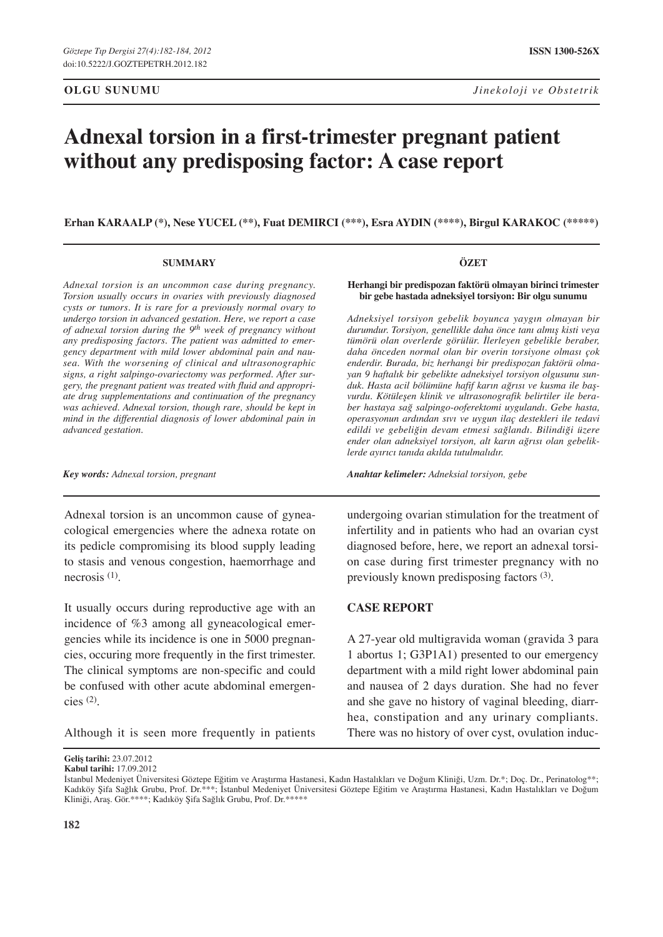# **Adnexal torsion in a first-trimester pregnant patient without any predisposing factor: A case report**

**Erhan Karaalp (\*), Nese Yucel (\*\*), Fuat Demirci (\*\*\*), Esra Aydin (\*\*\*\*), Birgul Karakoc (\*\*\*\*\*)** 

#### **SUMMARY**

*Adnexal torsion is an uncommon case during pregnancy. Torsion usually occurs in ovaries with previously diagnosed cysts or tumors. It is rare for a previously normal ovary to undergo torsion in advanced gestation. Here, we report a case of adnexal torsion during the 9th week of pregnancy without any predisposing factors. The patient was admitted to emergency department with mild lower abdominal pain and nausea. With the worsening of clinical and ultrasonographic signs, a right salpingo-ovariectomy was performed. After surgery, the pregnant patient was treated with fluid and appropriate drug supplementations and continuation of the pregnancy was achieved. Adnexal torsion, though rare, should be kept in mind in the differential diagnosis of lower abdominal pain in advanced gestation.* 

*Key words: Adnexal torsion, pregnant*

Adnexal torsion is an uncommon cause of gyneacological emergencies where the adnexa rotate on its pedicle compromising its blood supply leading to stasis and venous congestion, haemorrhage and necrosis (1).

It usually occurs during reproductive age with an incidence of %3 among all gyneacological emergencies while its incidence is one in 5000 pregnancies, occuring more frequently in the first trimester. The clinical symptoms are non-specific and could be confused with other acute abdominal emergencies (2).

Although it is seen more frequently in patients

**Geliş tarihi:** 23.07.2012 **Kabul tarihi:** 17.09.2012 **ÖZET**

#### **Herhangi bir predispozan faktörü olmayan birinci trimester bir gebe hastada adneksiyel torsiyon: Bir olgu sunumu**

*Adneksiyel torsiyon gebelik boyunca yaygın olmayan bir durumdur. Torsiyon, genellikle daha önce tanı almış kisti veya tümörü olan overlerde görülür. İlerleyen gebelikle beraber, daha önceden normal olan bir overin torsiyone olması çok enderdir. Burada, biz herhangi bir predispozan faktörü olmayan 9 haftalık bir gebelikte adneksiyel torsiyon olgusunu sunduk. Hasta acil bölümüne hafif karın ağrısı ve kusma ile başvurdu. Kötüleşen klinik ve ultrasonografik belirtiler ile beraber hastaya sağ salpingo-ooferektomi uygulandı. Gebe hasta, operasyonun ardından sıvı ve uygun ilaç destekleri ile tedavi edildi ve gebeliğin devam etmesi sağlandı. Bilindiği üzere ender olan adneksiyel torsiyon, alt karın ağrısı olan gebeliklerde ayırıcı tanıda akılda tutulmalıdır.* 

*Anahtar kelimeler: Adneksial torsiyon, gebe*

undergoing ovarian stimulation for the treatment of infertility and in patients who had an ovarian cyst diagnosed before, here, we report an adnexal torsion case during first trimester pregnancy with no previously known predisposing factors (3).

### **Case report**

A 27-year old multigravida woman (gravida 3 para 1 abortus 1; G3P1A1) presented to our emergency department with a mild right lower abdominal pain and nausea of 2 days duration. She had no fever and she gave no history of vaginal bleeding, diarrhea, constipation and any urinary compliants. There was no history of over cyst, ovulation induc-

İstanbul Medeniyet Üniversitesi Göztepe Eğitim ve Araştırma Hastanesi, Kadın Hastalıkları ve Doğum Kliniği, Uzm. Dr.\*; Doç. Dr., Perinatolog\*\*; Kadıköy Şifa Sağlık Grubu, Prof. Dr.\*\*\*; İstanbul Medeniyet Üniversitesi Göztepe Eğitim ve Araştırma Hastanesi, Kadın Hastalıkları ve Doğum Kliniği, Araş. Gör.\*\*\*\*; Kadıköy Şifa Sağlık Grubu, Prof. Dr.\*\*\*\*\*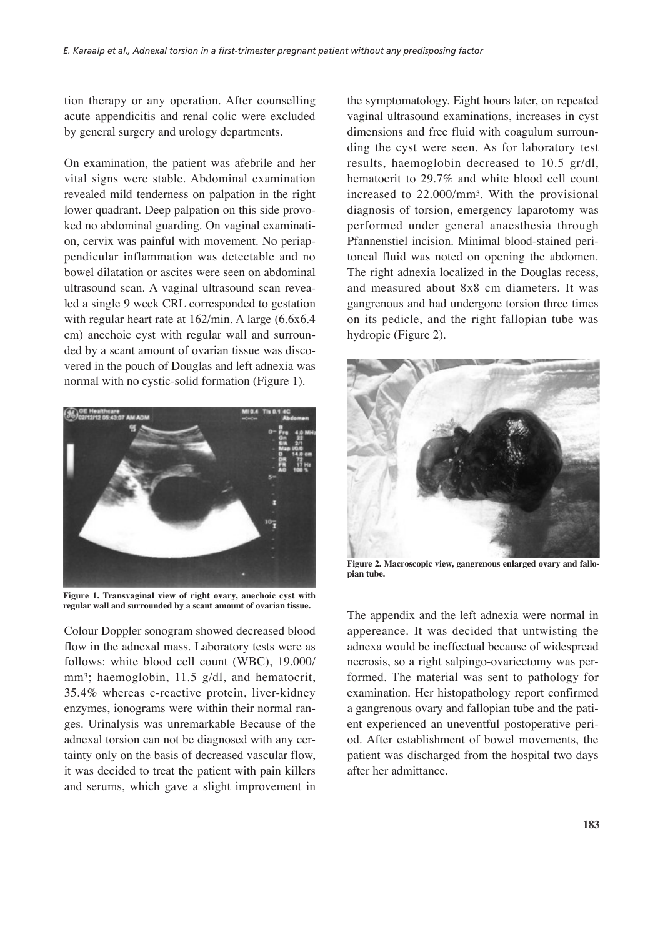tion therapy or any operation. After counselling acute appendicitis and renal colic were excluded by general surgery and urology departments.

On examination, the patient was afebrile and her vital signs were stable. Abdominal examination revealed mild tenderness on palpation in the right lower quadrant. Deep palpation on this side provoked no abdominal guarding. On vaginal examination, cervix was painful with movement. No periappendicular inflammation was detectable and no bowel dilatation or ascites were seen on abdominal ultrasound scan. A vaginal ultrasound scan revealed a single 9 week CRL corresponded to gestation with regular heart rate at 162/min. A large (6.6x6.4 cm) anechoic cyst with regular wall and surrounded by a scant amount of ovarian tissue was discovered in the pouch of Douglas and left adnexia was normal with no cystic-solid formation (Figure 1).



**Figure 1. Transvaginal view of right ovary, anechoic cyst with regular wall and surrounded by a scant amount of ovarian tissue.**

Colour Doppler sonogram showed decreased blood flow in the adnexal mass. Laboratory tests were as follows: white blood cell count (WBC), 19.000/ mm<sup>3</sup>; haemoglobin, 11.5 g/dl, and hematocrit, 35.4% whereas c-reactive protein, liver-kidney enzymes, ionograms were within their normal ranges. Urinalysis was unremarkable Because of the adnexal torsion can not be diagnosed with any certainty only on the basis of decreased vascular flow, it was decided to treat the patient with pain killers and serums, which gave a slight improvement in the symptomatology. Eight hours later, on repeated vaginal ultrasound examinations, increases in cyst dimensions and free fluid with coagulum surrounding the cyst were seen. As for laboratory test results, haemoglobin decreased to 10.5 gr/dl, hematocrit to 29.7% and white blood cell count increased to 22.000/mm3. With the provisional diagnosis of torsion, emergency laparotomy was performed under general anaesthesia through Pfannenstiel incision. Minimal blood-stained peritoneal fluid was noted on opening the abdomen. The right adnexia localized in the Douglas recess, and measured about 8x8 cm diameters. It was gangrenous and had undergone torsion three times on its pedicle, and the right fallopian tube was hydropic (Figure 2).



**Figure 2. Macroscopic view, gangrenous enlarged ovary and fallopian tube.**

The appendix and the left adnexia were normal in appereance. It was decided that untwisting the adnexa would be ineffectual because of widespread necrosis, so a right salpingo-ovariectomy was performed. The material was sent to pathology for examination. Her histopathology report confirmed a gangrenous ovary and fallopian tube and the patient experienced an uneventful postoperative period. After establishment of bowel movements, the patient was discharged from the hospital two days after her admittance.